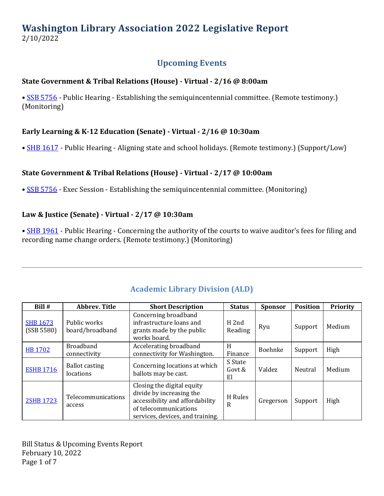## **Washington Library Association 2022 Legislative Report** 2/10/2022

### **Upcoming Events**

#### **State Government & Tribal Relations (House) - Virtual - 2/16 @ 8:00am**

• [SSB 5756](https://app.leg.wa.gov/billsummary?Year=2021&BillNumber=5756) - Public Hearing - Establishing the semiquincentennial committee. (Remote testimony.) (Monitoring)

### **Early Learning & K-12 Education (Senate) - Virtual - 2/16 @ 10:30am**

• **[SHB 1617](https://app.leg.wa.gov/billsummary?Year=2021&BillNumber=1617)** - Public Hearing - Aligning state and school holidays. (Remote testimony.) (Support/Low)

### **State Government & Tribal Relations (House) - Virtual - 2/17 @ 10:00am**

• [SSB 5756](https://app.leg.wa.gov/billsummary?Year=2021&BillNumber=5756) - Exec Session - Establishing the semiquincentennial committee. (Monitoring)

#### **Law & Justice (Senate) - Virtual - 2/17 @ 10:30am**

• [SHB 1961](https://app.leg.wa.gov/billsummary?Year=2021&BillNumber=1961) - Public Hearing - Concerning the authority of the courts to waive auditor's fees for filing and recording name change orders. (Remote testimony.) (Monitoring)

| Bill #                        | <b>Abbrev. Title</b>               | <b>Short Description</b>                                                                                                                               | <b>Status</b>               | <b>Sponsor</b> | <b>Position</b> | <b>Priority</b> |
|-------------------------------|------------------------------------|--------------------------------------------------------------------------------------------------------------------------------------------------------|-----------------------------|----------------|-----------------|-----------------|
| <b>SHB 1673</b><br>(SSB 5580) | Public works<br>board/broadband    | Concerning broadband<br>infrastructure loans and<br>grants made by the public<br>works board.                                                          | H <sub>2nd</sub><br>Reading | Ryu            | Support         | Medium          |
| <b>HB 1702</b>                | <b>Broadband</b><br>connectivity   | Accelerating broadband<br>connectivity for Washington.                                                                                                 | H<br>Finance                | <b>Boehnke</b> | Support         | High            |
| <b>ESHB 1716</b>              | <b>Ballot casting</b><br>locations | Concerning locations at which<br>ballots may be cast.                                                                                                  | S State<br>Govt &<br>El     | Valdez         | Neutral         | Medium          |
| 2SHB 1723                     | Telecommunications<br>access       | Closing the digital equity<br>divide by increasing the<br>accessibility and affordability<br>of telecommunications<br>services, devices, and training. | H Rules<br>R                | Gregerson      | Support         | High            |

### **Academic Library Division (ALD)**

Bill Status & Upcoming Events Report February 10, 2022 Page 1 of 7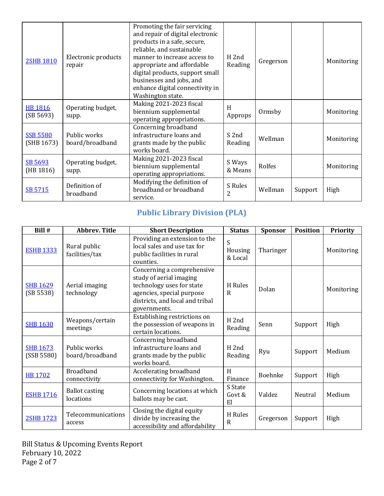| <b>2SHB 1810</b>              | Electronic products<br>repair   | Promoting the fair servicing<br>and repair of digital electronic<br>products in a safe, secure,<br>reliable, and sustainable<br>manner to increase access to<br>appropriate and affordable<br>digital products, support small<br>businesses and jobs, and<br>enhance digital connectivity in<br>Washington state. | H <sub>2nd</sub><br>Reading | Gregerson |         | Monitoring |
|-------------------------------|---------------------------------|-------------------------------------------------------------------------------------------------------------------------------------------------------------------------------------------------------------------------------------------------------------------------------------------------------------------|-----------------------------|-----------|---------|------------|
| <b>HB 1816</b><br>(SB 5693)   | Operating budget,<br>supp.      | Making 2021-2023 fiscal<br>biennium supplemental<br>operating appropriations.                                                                                                                                                                                                                                     | H<br>Approps                | Ormsby    |         | Monitoring |
| <b>SSB 5580</b><br>(SHB 1673) | Public works<br>board/broadband | Concerning broadband<br>infrastructure loans and<br>grants made by the public<br>works board.                                                                                                                                                                                                                     | S 2nd<br>Reading            | Wellman   |         | Monitoring |
| SB 5693<br>(HB 1816)          | Operating budget,<br>supp.      | Making 2021-2023 fiscal<br>biennium supplemental<br>operating appropriations.                                                                                                                                                                                                                                     | S Ways<br>& Means           | Rolfes    |         | Monitoring |
| SB 5715                       | Definition of<br>broadband      | Modifying the definition of<br>broadband or broadband<br>service.                                                                                                                                                                                                                                                 | S Rules<br>2                | Wellman   | Support | High       |

### **Public Library Division (PLA)**

| Bill #                        | <b>Abbrev. Title</b>               | <b>Short Description</b>                                                                                                                                           | <b>Status</b>               | <b>Sponsor</b> | <b>Position</b> | Priority   |
|-------------------------------|------------------------------------|--------------------------------------------------------------------------------------------------------------------------------------------------------------------|-----------------------------|----------------|-----------------|------------|
| <b>ESHB 1333</b>              | Rural public<br>facilities/tax     | Providing an extension to the<br>local sales and use tax for<br>public facilities in rural<br>counties.                                                            | S<br>Housing<br>& Local     | Tharinger      |                 | Monitoring |
| <b>SHB 1629</b><br>(SB 5538)  | Aerial imaging<br>technology       | Concerning a comprehensive<br>study of aerial imaging<br>technology uses for state<br>agencies, special purpose<br>districts, and local and tribal<br>governments. | H Rules<br>$\mathsf{R}$     | Dolan          |                 | Monitoring |
| <b>SHB 1630</b>               | Weapons/certain<br>meetings        | Establishing restrictions on<br>the possession of weapons in<br>certain locations.                                                                                 | H <sub>2nd</sub><br>Reading | Senn           | Support         | High       |
| <b>SHB 1673</b><br>(SSB 5580) | Public works<br>board/broadband    | Concerning broadband<br>infrastructure loans and<br>grants made by the public<br>works board.                                                                      | H <sub>2nd</sub><br>Reading | Ryu            | Support         | Medium     |
| <b>HB 1702</b>                | <b>Broadband</b><br>connectivity   | Accelerating broadband<br>connectivity for Washington.                                                                                                             | H<br>Finance                | Boehnke        | Support         | High       |
| <b>ESHB 1716</b>              | <b>Ballot casting</b><br>locations | Concerning locations at which<br>ballots may be cast.                                                                                                              | S State<br>Govt &<br>El     | Valdez         | Neutral         | Medium     |
| <b>2SHB 1723</b>              | Telecommunications<br>access       | Closing the digital equity<br>divide by increasing the<br>accessibility and affordability                                                                          | H Rules<br>$\mathbf R$      | Gregerson      | Support         | High       |

Bill Status & Upcoming Events Report February 10, 2022 Page 2 of 7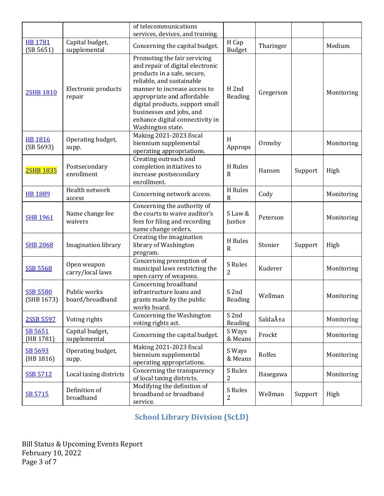|                               |                                 | of telecommunications                                                                                                                                                                                                                                                                                             |                             |           |         |            |
|-------------------------------|---------------------------------|-------------------------------------------------------------------------------------------------------------------------------------------------------------------------------------------------------------------------------------------------------------------------------------------------------------------|-----------------------------|-----------|---------|------------|
| <b>HB 1781</b>                | Capital budget,                 | services, devices, and training.                                                                                                                                                                                                                                                                                  | H Cap                       |           |         |            |
| (SB 5651)                     | supplemental                    | Concerning the capital budget.                                                                                                                                                                                                                                                                                    | <b>Budget</b>               | Tharinger |         | Medium     |
| <b>2SHB 1810</b>              | Electronic products<br>repair   | Promoting the fair servicing<br>and repair of digital electronic<br>products in a safe, secure,<br>reliable, and sustainable<br>manner to increase access to<br>appropriate and affordable<br>digital products, support small<br>businesses and jobs, and<br>enhance digital connectivity in<br>Washington state. | H <sub>2nd</sub><br>Reading | Gregerson |         | Monitoring |
| <b>HB 1816</b><br>(SB 5693)   | Operating budget,<br>supp.      | Making 2021-2023 fiscal<br>biennium supplemental<br>operating appropriations.                                                                                                                                                                                                                                     | H<br>Approps                | Ormsby    |         | Monitoring |
| <b>2SHB 1835</b>              | Postsecondary<br>enrollment     | Creating outreach and<br>completion initiatives to<br>increase postsecondary<br>enrollment.                                                                                                                                                                                                                       | H Rules<br>$\mathbf R$      | Hansen    | Support | High       |
| <b>HB 1889</b>                | Health network<br>access        | Concerning network access.                                                                                                                                                                                                                                                                                        | H Rules<br>$\mathbf R$      | Cody      |         | Monitoring |
| <b>SHB 1961</b>               | Name change fee<br>waivers      | Concerning the authority of<br>the courts to waive auditor's<br>fees for filing and recording<br>name change orders.                                                                                                                                                                                              | S Law &<br>Justice          | Peterson  |         | Monitoring |
| <b>SHB 2068</b>               | Imagination library             | Creating the imagination<br>library of Washington<br>program.                                                                                                                                                                                                                                                     | H Rules<br>R                | Stonier   | Support | High       |
| <b>SSB 5568</b>               | Open weapon<br>carry/local laws | Concerning preemption of<br>municipal laws restricting the<br>open carry of weapons.                                                                                                                                                                                                                              | S Rules<br>2                | Kuderer   |         | Monitoring |
| <b>SSB 5580</b><br>(SHB 1673) | Public works<br>board/broadband | Concerning broadband<br>infrastructure loans and<br>grants made by the public<br>works board.                                                                                                                                                                                                                     | S 2nd<br>Reading            | Wellman   |         | Monitoring |
| 2SSB 5597                     | Voting rights                   | Concerning the Washington<br>voting rights act.                                                                                                                                                                                                                                                                   | S 2nd<br>Reading            | Saldaña   |         | Monitoring |
| SB 5651<br>(HB 1781)          | Capital budget,<br>supplemental | Concerning the capital budget.                                                                                                                                                                                                                                                                                    | S Ways<br>& Means           | Frockt    |         | Monitoring |
| SB 5693<br>(HB 1816)          | Operating budget,<br>supp.      | Making 2021-2023 fiscal<br>biennium supplemental<br>operating appropriations.                                                                                                                                                                                                                                     | S Ways<br>& Means           | Rolfes    |         | Monitoring |
| <b>SSB 5712</b>               | Local taxing districts          | Concerning the transparency<br>of local taxing districts.                                                                                                                                                                                                                                                         | S Rules<br>$\overline{c}$   | Hasegawa  |         | Monitoring |
| SB 5715                       | Definition of<br>broadband      | Modifying the definition of<br>broadband or broadband<br>service.                                                                                                                                                                                                                                                 | S Rules<br>2                | Wellman   | Support | High       |

# **School Library Division (ScLD)**

Bill Status & Upcoming Events Report February 10, 2022 Page 3 of 7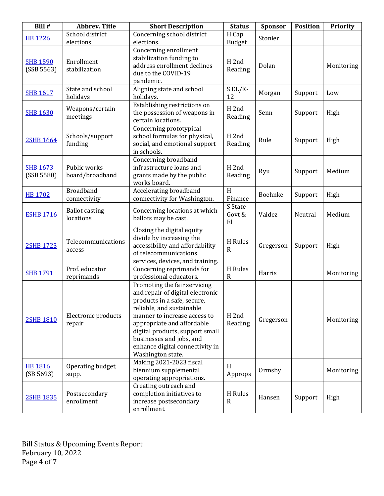| Bill #                        | <b>Abbrev. Title</b>               | <b>Short Description</b>                                                                                                                                                                                                                                                                                          | <b>Status</b>                        | Sponsor   | <b>Position</b> | Priority   |
|-------------------------------|------------------------------------|-------------------------------------------------------------------------------------------------------------------------------------------------------------------------------------------------------------------------------------------------------------------------------------------------------------------|--------------------------------------|-----------|-----------------|------------|
| <b>HB 1226</b>                | School district<br>elections       | Concerning school district<br>elections.                                                                                                                                                                                                                                                                          | H Cap<br><b>Budget</b>               | Stonier   |                 |            |
| <b>SHB 1590</b><br>(SSB 5563) | Enrollment<br>stabilization        | Concerning enrollment<br>stabilization funding to<br>address enrollment declines<br>due to the COVID-19<br>pandemic.                                                                                                                                                                                              | H <sub>2nd</sub><br>Reading          | Dolan     |                 | Monitoring |
| <b>SHB 1617</b>               | State and school<br>holidays       | Aligning state and school<br>holidays.                                                                                                                                                                                                                                                                            | S EL/K-<br>12                        | Morgan    | Support         | Low        |
| <b>SHB 1630</b>               | Weapons/certain<br>meetings        | Establishing restrictions on<br>the possession of weapons in<br>certain locations.                                                                                                                                                                                                                                | H <sub>2nd</sub><br>Reading          | Senn      | Support         | High       |
| <b>2SHB 1664</b>              | Schools/support<br>funding         | Concerning prototypical<br>school formulas for physical,<br>social, and emotional support<br>in schools.                                                                                                                                                                                                          | H <sub>2nd</sub><br>Reading          | Rule      | Support         | High       |
| <b>SHB 1673</b><br>(SSB 5580) | Public works<br>board/broadband    | Concerning broadband<br>infrastructure loans and<br>grants made by the public<br>works board.                                                                                                                                                                                                                     | H <sub>2nd</sub><br>Reading          | Ryu       | Support         | Medium     |
| <b>HB 1702</b>                | <b>Broadband</b><br>connectivity   | Accelerating broadband<br>connectivity for Washington.                                                                                                                                                                                                                                                            | $\boldsymbol{\mathrm{H}}$<br>Finance | Boehnke   | Support         | High       |
| <b>ESHB 1716</b>              | <b>Ballot casting</b><br>locations | Concerning locations at which<br>ballots may be cast.                                                                                                                                                                                                                                                             | S State<br>Govt &<br>El              | Valdez    | Neutral         | Medium     |
| 2SHB 1723                     | Telecommunications<br>access       | Closing the digital equity<br>divide by increasing the<br>accessibility and affordability<br>of telecommunications<br>services, devices, and training.                                                                                                                                                            | H Rules<br>R                         | Gregerson | Support         | High       |
| <b>SHB 1791</b>               | Prof. educator<br>reprimands       | Concerning reprimands for<br>professional educators.                                                                                                                                                                                                                                                              | H Rules<br>$\mathbf R$               | Harris    |                 | Monitoring |
| <b>2SHB 1810</b>              | Electronic products<br>repair      | Promoting the fair servicing<br>and repair of digital electronic<br>products in a safe, secure,<br>reliable, and sustainable<br>manner to increase access to<br>appropriate and affordable<br>digital products, support small<br>businesses and jobs, and<br>enhance digital connectivity in<br>Washington state. | H <sub>2nd</sub><br>Reading          | Gregerson |                 | Monitoring |
| <b>HB 1816</b><br>(SB 5693)   | Operating budget,<br>supp.         | Making 2021-2023 fiscal<br>biennium supplemental<br>operating appropriations.                                                                                                                                                                                                                                     | H<br>Approps                         | Ormsby    |                 | Monitoring |
| <b>2SHB 1835</b>              | Postsecondary<br>enrollment        | Creating outreach and<br>completion initiatives to<br>increase postsecondary<br>enrollment.                                                                                                                                                                                                                       | H Rules<br>$\mathbf R$               | Hansen    | Support         | High       |

Bill Status & Upcoming Events Report February 10, 2022 Page 4 of 7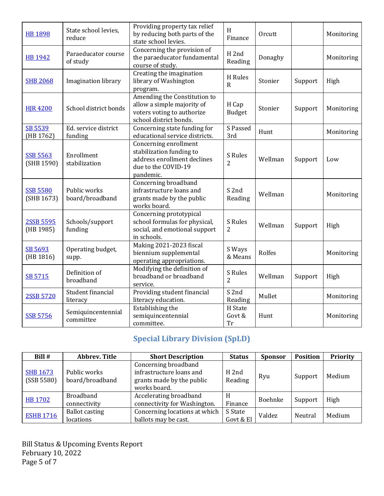| <b>HB 1898</b>                | State school levies,<br>reduce  | Providing property tax relief<br>by reducing both parts of the<br>state school levies.                               | H<br>Finance                     | Orcutt  |         | Monitoring |
|-------------------------------|---------------------------------|----------------------------------------------------------------------------------------------------------------------|----------------------------------|---------|---------|------------|
| <b>HB 1942</b>                | Paraeducator course<br>of study | Concerning the provision of<br>the paraeducator fundamental<br>course of study.                                      | H <sub>2nd</sub><br>Reading      | Donaghy |         | Monitoring |
| <b>SHB 2068</b>               | Imagination library             | Creating the imagination<br>library of Washington<br>program.                                                        | H Rules<br>$\mathbf R$           | Stonier | Support | High       |
| <b>HIR 4200</b>               | School district bonds           | Amending the Constitution to<br>allow a simple majority of<br>voters voting to authorize<br>school district bonds.   | H Cap<br><b>Budget</b>           | Stonier | Support | Monitoring |
| SB 5539<br>(HB 1762)          | Ed. service district<br>funding | Concerning state funding for<br>educational service districts.                                                       | S Passed<br>3rd                  | Hunt    |         | Monitoring |
| <b>SSB 5563</b><br>(SHB 1590) | Enrollment<br>stabilization     | Concerning enrollment<br>stabilization funding to<br>address enrollment declines<br>due to the COVID-19<br>pandemic. | <b>S</b> Rules<br>$\overline{2}$ | Wellman | Support | Low        |
| <b>SSB 5580</b><br>(SHB 1673) | Public works<br>board/broadband | Concerning broadband<br>infrastructure loans and<br>grants made by the public<br>works board.                        | S 2nd<br>Reading                 | Wellman |         | Monitoring |
| 2SSB 5595<br>(HB 1985)        | Schools/support<br>funding      | Concerning prototypical<br>school formulas for physical,<br>social, and emotional support<br>in schools.             | S Rules<br>2                     | Wellman | Support | High       |
| SB 5693<br>(HB 1816)          | Operating budget,<br>supp.      | Making 2021-2023 fiscal<br>biennium supplemental<br>operating appropriations.                                        | S Ways<br>& Means                | Rolfes  |         | Monitoring |
| SB 5715                       | Definition of<br>broadband      | Modifying the definition of<br>broadband or broadband<br>service.                                                    | S Rules<br>2                     | Wellman | Support | High       |
| 2SSB 5720                     | Student financial<br>literacy   | Providing student financial<br>literacy education.                                                                   | S <sub>2nd</sub><br>Reading      | Mullet  |         | Monitoring |
| <b>SSB 5756</b>               | Semiquincentennial<br>committee | Establishing the<br>semiquincentennial<br>committee.                                                                 | H State<br>Govt &<br>Tr          | Hunt    |         | Monitoring |

# **Special Library Division (SpLD)**

| Bill #           | <b>Abbrev. Title</b>  | <b>Short Description</b>      | <b>Status</b>    | <b>Sponsor</b> | <b>Position</b> | Priority |
|------------------|-----------------------|-------------------------------|------------------|----------------|-----------------|----------|
|                  |                       | Concerning broadband          |                  |                |                 |          |
| <b>SHB 1673</b>  | Public works          | infrastructure loans and      | H <sub>2nd</sub> | Ryu            |                 | Medium   |
| (SSB 5580)       | board/broadband       | grants made by the public     | Reading          |                | Support         |          |
|                  |                       | works board.                  |                  |                |                 |          |
|                  | <b>Broadband</b>      | Accelerating broadband        | H                | Boehnke        |                 | High     |
| <b>HB 1702</b>   | connectivity          | connectivity for Washington.  | Finance          |                | Support         |          |
| <b>ESHB 1716</b> | <b>Ballot casting</b> | Concerning locations at which | S State          | Valdez         | Neutral         | Medium   |
|                  | locations             | ballots may be cast.          | Govt & El        |                |                 |          |

Bill Status & Upcoming Events Report February 10, 2022 Page 5 of 7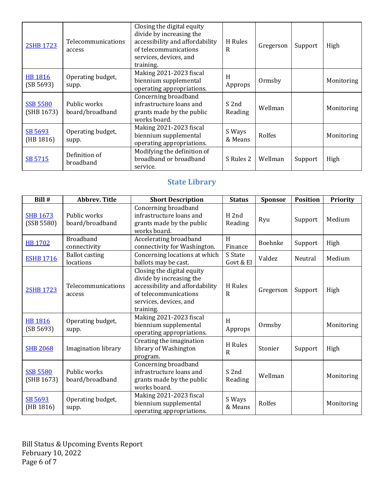| <b>2SHB 1723</b>              | Telecommunications<br>access      | Closing the digital equity<br>divide by increasing the<br>accessibility and affordability<br>of telecommunications<br>services, devices, and<br>training. | H Rules<br>R      | Gregerson | Support | High       |
|-------------------------------|-----------------------------------|-----------------------------------------------------------------------------------------------------------------------------------------------------------|-------------------|-----------|---------|------------|
| HB 1816<br>(SB 5693)          | Operating budget,<br>supp.        | Making 2021-2023 fiscal<br>biennium supplemental<br>operating appropriations.                                                                             | H<br>Approps      | Ormsby    |         | Monitoring |
| <b>SSB 5580</b><br>(SHB 1673) | Public works<br>board/broadband   | Concerning broadband<br>infrastructure loans and<br>grants made by the public<br>works board.                                                             | S 2nd<br>Reading  | Wellman   |         | Monitoring |
| SB 5693<br>(HB 1816)          | Operating budget,<br>supp.        | Making 2021-2023 fiscal<br>biennium supplemental<br>operating appropriations.                                                                             | S Ways<br>& Means | Rolfes    |         | Monitoring |
| SB 5715                       | Definition of<br><b>broadband</b> | Modifying the definition of<br>broadband or broadband<br>service.                                                                                         | S Rules 2         | Wellman   | Support | High       |

# **State Library**

| Bill #                        | <b>Abbrev. Title</b>               | <b>Short Description</b>                                                                                                                                  | <b>Status</b>               | <b>Sponsor</b> | <b>Position</b> | <b>Priority</b> |
|-------------------------------|------------------------------------|-----------------------------------------------------------------------------------------------------------------------------------------------------------|-----------------------------|----------------|-----------------|-----------------|
| <b>SHB 1673</b><br>(SSB 5580) | Public works<br>board/broadband    | Concerning broadband<br>infrastructure loans and<br>grants made by the public<br>works board.                                                             | H <sub>2nd</sub><br>Reading | Ryu            | Support         | Medium          |
| <b>HB1702</b>                 | <b>Broadband</b><br>connectivity   | Accelerating broadband<br>connectivity for Washington.                                                                                                    | H<br>Finance                | Boehnke        | Support         | High            |
| <b>ESHB 1716</b>              | <b>Ballot casting</b><br>locations | Concerning locations at which<br>ballots may be cast.                                                                                                     | S State<br>Govt & El        | Valdez         | Neutral         | Medium          |
| 2SHB 1723                     | Telecommunications<br>access       | Closing the digital equity<br>divide by increasing the<br>accessibility and affordability<br>of telecommunications<br>services, devices, and<br>training. | H Rules<br>R                | Gregerson      | Support         | High            |
| <b>HB 1816</b><br>(SB 5693)   | Operating budget,<br>supp.         | Making 2021-2023 fiscal<br>biennium supplemental<br>operating appropriations.                                                                             | H<br>Approps                | Ormsby         |                 | Monitoring      |
| <b>SHB 2068</b>               | <b>Imagination library</b>         | Creating the imagination<br>library of Washington<br>program.                                                                                             | H Rules<br>R                | Stonier        | Support         | High            |
| <b>SSB 5580</b><br>(SHB 1673) | Public works<br>board/broadband    | Concerning broadband<br>infrastructure loans and<br>grants made by the public<br>works board.                                                             | S <sub>2nd</sub><br>Reading | Wellman        |                 | Monitoring      |
| SB 5693<br>(HB 1816)          | Operating budget,<br>supp.         | Making 2021-2023 fiscal<br>biennium supplemental<br>operating appropriations.                                                                             | S Ways<br>& Means           | Rolfes         |                 | Monitoring      |

Bill Status & Upcoming Events Report February 10, 2022 Page 6 of 7